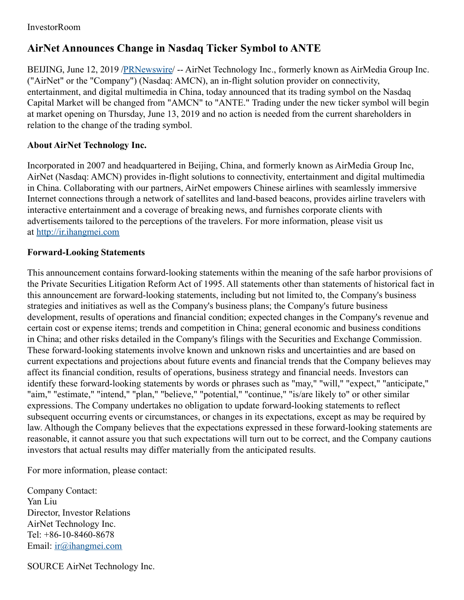## InvestorRoom

## **AirNet Announces Change in Nasdaq Ticker Symbol to ANTE**

BEIJING, June 12, 2019 [/PRNewswire](http://www.prnewswire.com/)/ -- AirNet Technology Inc., formerly known as AirMedia Group Inc. ("AirNet" or the "Company") (Nasdaq: AMCN), an in-flight solution provider on connectivity, entertainment, and digital multimedia in China, today announced that its trading symbol on the Nasdaq Capital Market will be changed from "AMCN" to "ANTE." Trading under the new ticker symbol will begin at market opening on Thursday, June 13, 2019 and no action is needed from the current shareholders in relation to the change of the trading symbol.

## **About AirNet Technology Inc.**

Incorporated in 2007 and headquartered in Beijing, China, and formerly known as AirMedia Group Inc, AirNet (Nasdaq: AMCN) provides in-flight solutions to connectivity, entertainment and digital multimedia in China. Collaborating with our partners, AirNet empowers Chinese airlines with seamlessly immersive Internet connections through a network of satellites and land-based beacons, provides airline travelers with interactive entertainment and a coverage of breaking news, and furnishes corporate clients with advertisements tailored to the perceptions of the travelers. For more information, please visit us at [http://ir.ihangmei.com](http://ir.ihangmei.com/)

## **Forward-Looking Statements**

This announcement contains forward-looking statements within the meaning of the safe harbor provisions of the Private Securities Litigation Reform Act of 1995. All statements other than statements of historical fact in this announcement are forward-looking statements, including but not limited to, the Company's business strategies and initiatives as well as the Company's business plans; the Company's future business development, results of operations and financial condition; expected changes in the Company's revenue and certain cost or expense items; trends and competition in China; general economic and business conditions in China; and other risks detailed in the Company's filings with the Securities and Exchange Commission. These forward-looking statements involve known and unknown risks and uncertainties and are based on current expectations and projections about future events and financial trends that the Company believes may affect its financial condition, results of operations, business strategy and financial needs. Investors can identify these forward-looking statements by words or phrases such as "may," "will," "expect," "anticipate," "aim," "estimate," "intend," "plan," "believe," "potential," "continue," "is/are likely to" or other similar expressions. The Company undertakes no obligation to update forward-looking statements to reflect subsequent occurring events or circumstances, or changes in its expectations, except as may be required by law. Although the Company believes that the expectations expressed in these forward-looking statements are reasonable, it cannot assure you that such expectations will turn out to be correct, and the Company cautions investors that actual results may differ materially from the anticipated results.

For more information, please contact:

Company Contact: Yan Liu Director, Investor Relations AirNet Technology Inc. Tel: +86-10-8460-8678 Email: [ir@ihangmei.com](mailto:ir@ihangmei.com)

SOURCE AirNet Technology Inc.